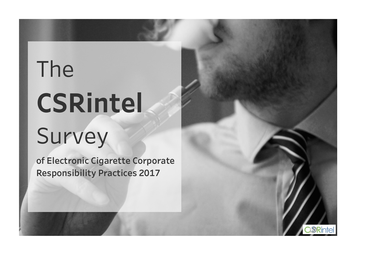# The **CSRintel** Survey

**of Electronic Cigarette Corporate Responsibility Practices 2017**

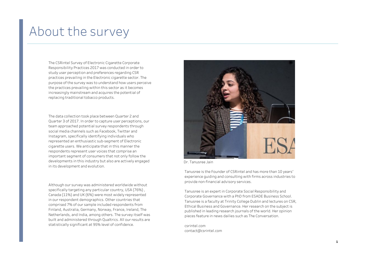### About the survey

The CSRintel Survey of Electronic Cigarette Corporate Responsibility Practices 2017 was conducted in order to study user perception and preferences regarding CSR practices prevailing in the Electronic cigarette sector. The purpose of the survey was to understand how users perceive the practices prevailing within this sector as it becomes increasingly mainstream and acquires the potential of replacing traditional tobacco products.

The data collection took place between Quarter 2 and Quarter 3 of 2017. In order to capture user perceptions, our team approached potential survey respondents through social media channels such as Facebook, Twitter and Instagram, specifically identifying individuals who represented an enthusiastic sub-segment of Electronic cigarette users. We anticipate that in this manner the respondents represent user voices that comprise an important segment of consumers that not only follow the developments in this industry but also are actively engaged in its development and evolution.

Although our survey was administered worldwide without specifically targeting any particular country, USA (76%) , Canada (11%) and UK (6%) were most widely represented in our respondent demographics. Other countries that comprised 7% of our sample included respondents from Finland, Australia, Germany, Norway, France, Ireland, The Netherlands, and India, among others. The survey itself was built and administered through Qualtrics. All our results are statistically significant at 95% level of confidence.



Dr. Tanusree Jain

Tanusree is the Founder of CSRintel and has more than 10 years' experience guiding and consulting with firms across industries to provide non-financial advisory services.

Tanusree is an expert in Corporate Social Responsibility and Corporate Governance with a PhD from ESADE Business School. Tanusree is a faculty at Trinity College Dublin and lectures on CSR, Ethical Business and Governance. Her research on the subject is published in leading research journals of the world. Her opinion pieces feature in news dailies such as The Conversation.

csrintel.com contact@csrintel.com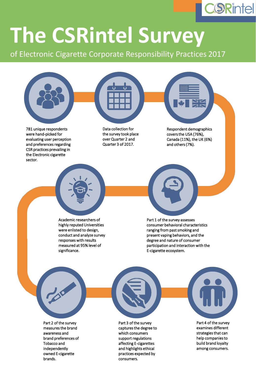

## **The CSRintel Survey**

of Electronic Cigarette Corporate Responsibility Practices 2017



were hand-picked for evaluating user perception and preferences regarding CSR practices prevailing in the Electronic cigarette sector.

the survey took place over Quarter 2 and Quarter 3 of 2017.

covers the USA (76%), Canada (11%), the UK (6%) and others (7%).

Academic researchers of highly reputed Universities were enlisted to design, conduct and analyze survey responses with results measured at 95% level of significance.

Part 1 of the survey assesses consumer behavioral characteristics ranging from past smoking and present vaping behaviors, and the degree and nature of consumer participation and interaction with the E-cigarette ecosystem.

Part 2 of the survey measures the brand awareness and brand preferences of Tobacco and independently owned E-cigarette brands.



Part 3 of the survey captures the degree to which consumers support regulations affecting E-cigarettes and highlights ethical practices expected by consumers.



Part 4 of the survey examines different strategies that can help companies to build brand loyalty among consumers.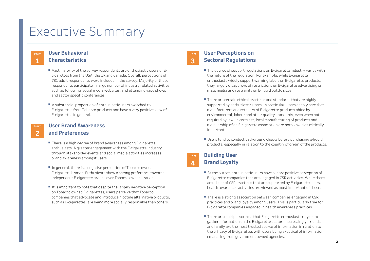## Executive Summary

#### **User Behavioral Characteristics Part**

**1**

- Vast majority of the survey respondents are enthusiastic users of Ecigarettes from the USA, the UK and Canada. Overall, perceptions of 781 adult respondents were included in the survey. Majority of these respondents participate in large number of industry related activities such as following social media websites, and attending vape shows and sector specific conferences.
- A substantial proportion of enthusiastic users switched to E-cigarettes from Tobacco products and have a very positive view of E-cigarettes in general.

#### **User Brand Awareness and Preferences Part 2**

- There is a high degree of brand awareness among E-cigarette enthusiasts. A greater engagement with the E-cigarette industry through stakeholder events and social media activities increases brand awareness amongst users.
- In general, there is a negative perception of Tobacco owned E-cigarette brands. Enthusiasts show a strong preference towards independent E-cigarette brands over Tobacco owned brands.
- $\blacksquare$  It is important to note that despite the largely negative perception on Tobacco owned E-cigarettes, users perceive that Tobacco companies that advocate and introduce nicotine alternative products, such as E-cigarettes, are being more socially responsible than others.

#### **User Perceptions on Sectoral Regulations Part**

**3**

**Part 4**

- The degree of support regulations on E-cigarette industry varies with the nature of the regulation. For example, while E-cigarette enthusiasts widely support warning labels on E-cigarette products, they largely disapprove of restrictions on E-cigarette advertising on mass media and restraints on E-liquid bottle sizes.
- $\blacksquare$  There are certain ethical practices and standards that are highly supported by enthusiastic users. In particular, users deeply care that manufacturers and retailers of E-cigarette products abide by environmental, labour and other quality standards, even when not required by law. In contrast, local manufacturing of products and membership of an E-cigarette association are not viewed as critically important.
- Users tend to conduct background checks before purchasing e-liquid products, especially in relation to the country of origin of the products.

#### **Building User Brand Loyalty**

- $\blacksquare$  At the outset, enthusiastic users have a more positive perception of E-cigarette companies that are engaged in CSR activities. While there are a host of CSR practices that are supported by E-cigarette users, health awareness activities are viewed as most important of these.
- There is a strong association between companies engaging in CSR practices and brand loyalty among users. This is particularly true for E-cigarette companies engaged in health awareness practices.
- $\blacksquare$  There are multiple sources that E-cigarette enthusiasts rely on to gather information on the E-cigarette sector. Interestingly, friends and family are the most trusted source of information in relation to the efficacy of E-cigarettes with users being skeptical of information emanating from government owned agencies.